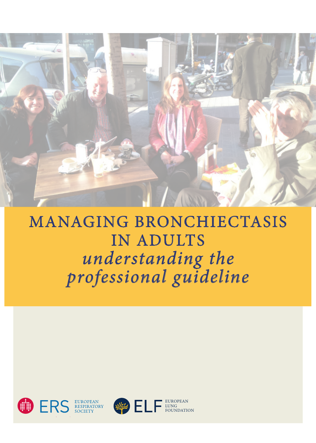

# MANAGING BRONCHIECTASIS IN ADULTS *understanding the professional guideline*



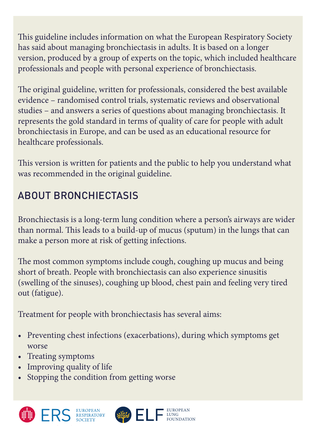This guideline includes information on what the European Respiratory Society has said about managing bronchiectasis in adults. It is based on a longer version, produced by a group of experts on the topic, which included healthcare professionals and people with personal experience of bronchiectasis.

The original guideline, written for professionals, considered the best available evidence – randomised control trials, systematic reviews and observational studies – and answers a series of questions about managing bronchiectasis. It represents the gold standard in terms of quality of care for people with adult bronchiectasis in Europe, and can be used as an educational resource for healthcare professionals.

This version is written for patients and the public to help you understand what was recommended in the original guideline.

### ABOUT BRONCHIECTASIS

Bronchiectasis is a long-term lung condition where a person's airways are wider than normal. This leads to a build-up of mucus (sputum) in the lungs that can make a person more at risk of getting infections.

The most common symptoms include cough, coughing up mucus and being short of breath. People with bronchiectasis can also experience sinusitis (swelling of the sinuses), coughing up blood, chest pain and feeling very tired out (fatigue).

Treatment for people with bronchiectasis has several aims:

• Preventing chest infections (exacerbations), during which symptoms get worse

> EUROPEAN LUNG FOUNDATION

- Treating symptoms
- Improving quality of life
- Stopping the condition from getting worse



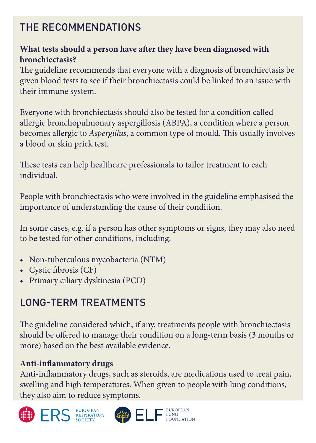### THE RECOMMENDATIONS

#### **What tests should a person have after they have been diagnosed with bronchiectasis?**

The guideline recommends that everyone with a diagnosis of bronchiectasis be given blood tests to see if their bronchiectasis could be linked to an issue with their immune system.

Everyone with bronchiectasis should also be tested for a condition called allergic bronchopulmonary aspergillosis (ABPA), a condition where a person becomes allergic to *Aspergillus*, a common type of mould. This usually involves a blood or skin prick test.

These tests can help healthcare professionals to tailor treatment to each individual.

People with bronchiectasis who were involved in the guideline emphasised the importance of understanding the cause of their condition.

In some cases, e.g. if a person has other symptoms or signs, they may also need to be tested for other conditions, including:

- Non-tuberculous mycobacteria (NTM)
- Cystic fibrosis (CF)
- Primary ciliary dyskinesia (PCD)

## LONG-TERM TREATMENTS

The guideline considered which, if any, treatments people with bronchiectasis should be offered to manage their condition on a long-term basis (3 months or more) based on the best available evidence.

#### **Anti-inflammatory drugs**

Anti-inflammatory drugs, such as steroids, are medications used to treat pain, swelling and high temperatures. When given to people with lung conditions, they also aim to reduce symptoms.





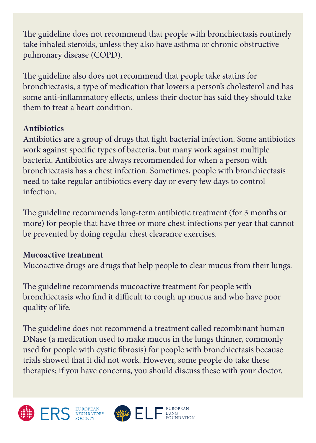The guideline does not recommend that people with bronchiectasis routinely take inhaled steroids, unless they also have asthma or chronic obstructive pulmonary disease (COPD).

The guideline also does not recommend that people take statins for bronchiectasis, a type of medication that lowers a person's cholesterol and has some anti-inflammatory effects, unless their doctor has said they should take them to treat a heart condition.

#### **Antibiotics**

Antibiotics are a group of drugs that fight bacterial infection. Some antibiotics work against specific types of bacteria, but many work against multiple bacteria. Antibiotics are always recommended for when a person with bronchiectasis has a chest infection. Sometimes, people with bronchiectasis need to take regular antibiotics every day or every few days to control infection.

The guideline recommends long-term antibiotic treatment (for 3 months or more) for people that have three or more chest infections per year that cannot be prevented by doing regular chest clearance exercises.

#### **Mucoactive treatment**

Mucoactive drugs are drugs that help people to clear mucus from their lungs.

The guideline recommends mucoactive treatment for people with bronchiectasis who find it difficult to cough up mucus and who have poor quality of life.

The guideline does not recommend a treatment called recombinant human DNase (a medication used to make mucus in the lungs thinner, commonly used for people with cystic fibrosis) for people with bronchiectasis because trials showed that it did not work. However, some people do take these therapies; if you have concerns, you should discuss these with your doctor.





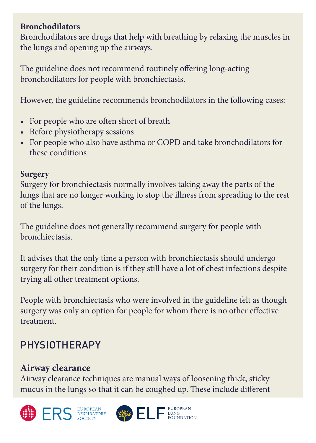#### **Bronchodilators**

Bronchodilators are drugs that help with breathing by relaxing the muscles in the lungs and opening up the airways.

The guideline does not recommend routinely offering long-acting bronchodilators for people with bronchiectasis.

However, the guideline recommends bronchodilators in the following cases:

- For people who are often short of breath
- Before physiotherapy sessions
- For people who also have asthma or COPD and take bronchodilators for these conditions

#### **Surgery**

Surgery for bronchiectasis normally involves taking away the parts of the lungs that are no longer working to stop the illness from spreading to the rest of the lungs.

The guideline does not generally recommend surgery for people with bronchiectasis.

It advises that the only time a person with bronchiectasis should undergo surgery for their condition is if they still have a lot of chest infections despite trying all other treatment options.

People with bronchiectasis who were involved in the guideline felt as though surgery was only an option for people for whom there is no other effective treatment.

### PHYSIOTHERAPY

### **Airway clearance**

Airway clearance techniques are manual ways of loosening thick, sticky mucus in the lungs so that it can be coughed up. These include different





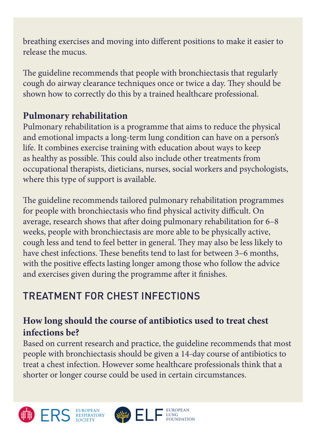breathing exercises and moving into different positions to make it easier to release the mucus.

The guideline recommends that people with bronchiectasis that regularly cough do airway clearance techniques once or twice a day. They should be shown how to correctly do this by a trained healthcare professional.

### **Pulmonary rehabilitation**

Pulmonary rehabilitation is a programme that aims to reduce the physical and emotional impacts a long-term lung condition can have on a person's life. It combines exercise training with education about ways to keep as healthy as possible. This could also include other treatments from occupational therapists, dieticians, nurses, social workers and psychologists, where this type of support is available.

The guideline recommends tailored pulmonary rehabilitation programmes for people with bronchiectasis who find physical activity difficult. On average, research shows that after doing pulmonary rehabilitation for 6–8 weeks, people with bronchiectasis are more able to be physically active, cough less and tend to feel better in general. They may also be less likely to have chest infections. These benefits tend to last for between 3–6 months, with the positive effects lasting longer among those who follow the advice and exercises given during the programme after it finishes.

## TREATMENT FOR CHEST INFECTIONS

### **How long should the course of antibiotics used to treat chest infections be?**

Based on current research and practice, the guideline recommends that most people with bronchiectasis should be given a 14-day course of antibiotics to treat a chest infection. However some healthcare professionals think that a shorter or longer course could be used in certain circumstances.

> EUROPEAN LUNG FOUNDATION





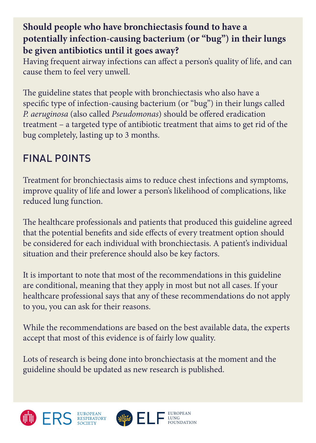#### **Should people who have bronchiectasis found to have a potentially infection-causing bacterium (or "bug") in their lungs be given antibiotics until it goes away?**

Having frequent airway infections can affect a person's quality of life, and can cause them to feel very unwell.

The guideline states that people with bronchiectasis who also have a specific type of infection-causing bacterium (or "bug") in their lungs called *P. aeruginosa* (also called *Pseudomonas*) should be offered eradication treatment – a targeted type of antibiotic treatment that aims to get rid of the bug completely, lasting up to 3 months.

### FINAL POINTS

Treatment for bronchiectasis aims to reduce chest infections and symptoms, improve quality of life and lower a person's likelihood of complications, like reduced lung function.

The healthcare professionals and patients that produced this guideline agreed that the potential benefits and side effects of every treatment option should be considered for each individual with bronchiectasis. A patient's individual situation and their preference should also be key factors.

It is important to note that most of the recommendations in this guideline are conditional, meaning that they apply in most but not all cases. If your healthcare professional says that any of these recommendations do not apply to you, you can ask for their reasons.

While the recommendations are based on the best available data, the experts accept that most of this evidence is of fairly low quality.

> EUROPEAN LUNG FOUNDATION

Lots of research is being done into bronchiectasis at the moment and the guideline should be updated as new research is published.